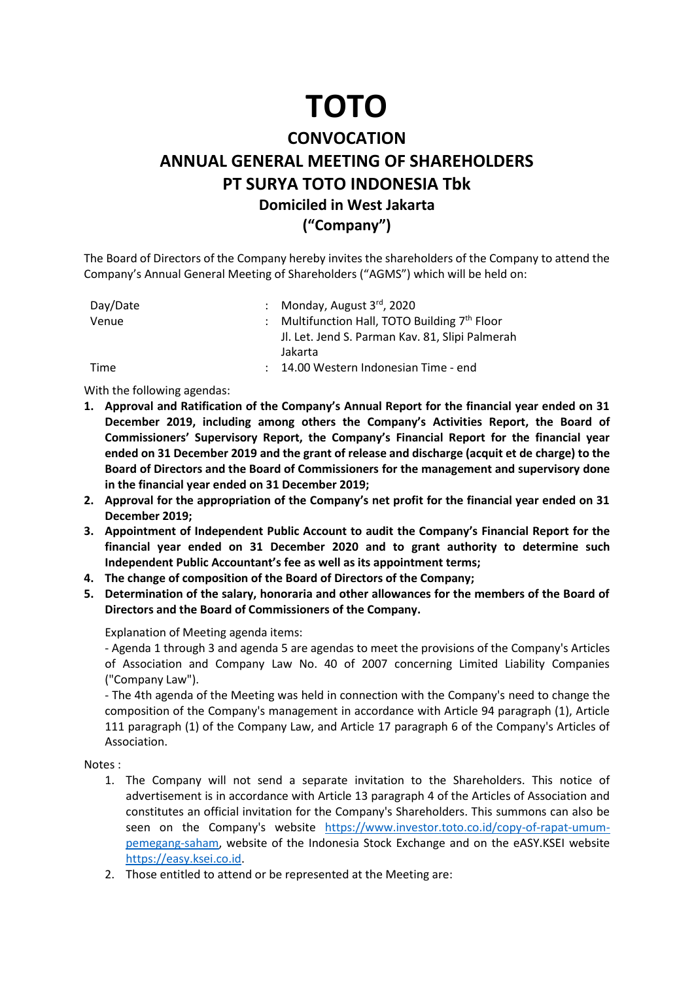## **TOTO**

## **CONVOCATION ANNUAL GENERAL MEETING OF SHAREHOLDERS PT SURYA TOTO INDONESIA Tbk Domiciled in West Jakarta ("Company")**

The Board of Directors of the Company hereby invites the shareholders of the Company to attend the Company's Annual General Meeting of Shareholders ("AGMS") which will be held on:

| Day/Date | : Monday, August $3^{rd}$ , 2020                |
|----------|-------------------------------------------------|
| Venue    | : Multifunction Hall, TOTO Building 7th Floor   |
|          | Jl. Let. Jend S. Parman Kav. 81, Slipi Palmerah |
|          | Jakarta                                         |
| Time     | : 14.00 Western Indonesian Time - end           |

With the following agendas:

- **1. Approval and Ratification of the Company's Annual Report for the financial year ended on 31 December 2019, including among others the Company's Activities Report, the Board of Commissioners' Supervisory Report, the Company's Financial Report for the financial year ended on 31 December 2019 and the grant of release and discharge (acquit et de charge) to the Board of Directors and the Board of Commissioners for the management and supervisory done in the financial year ended on 31 December 2019;**
- **2. Approval for the appropriation of the Company's net profit for the financial year ended on 31 December 2019;**
- **3. Appointment of Independent Public Account to audit the Company's Financial Report for the financial year ended on 31 December 2020 and to grant authority to determine such Independent Public Accountant's fee as well as its appointment terms;**
- **4. The change of composition of the Board of Directors of the Company;**
- **5. Determination of the salary, honoraria and other allowances for the members of the Board of Directors and the Board of Commissioners of the Company.**

Explanation of Meeting agenda items:

- Agenda 1 through 3 and agenda 5 are agendas to meet the provisions of the Company's Articles of Association and Company Law No. 40 of 2007 concerning Limited Liability Companies ("Company Law").

- The 4th agenda of the Meeting was held in connection with the Company's need to change the composition of the Company's management in accordance with Article 94 paragraph (1), Article 111 paragraph (1) of the Company Law, and Article 17 paragraph 6 of the Company's Articles of Association.

Notes :

- 1. The Company will not send a separate invitation to the Shareholders. This notice of advertisement is in accordance with Article 13 paragraph 4 of the Articles of Association and constitutes an official invitation for the Company's Shareholders. This summons can also be seen on the Company's website [https://www.investor.toto.co.id/copy-of-rapat-umum](https://www.investor.toto.co.id/copy-of-rapat-umum-pemegang-saham)[pemegang-saham,](https://www.investor.toto.co.id/copy-of-rapat-umum-pemegang-saham) website of the Indonesia Stock Exchange and on the eASY.KSEI website [https://easy.ksei.co.id.](https://easy.ksei.co.id/)
- 2. Those entitled to attend or be represented at the Meeting are: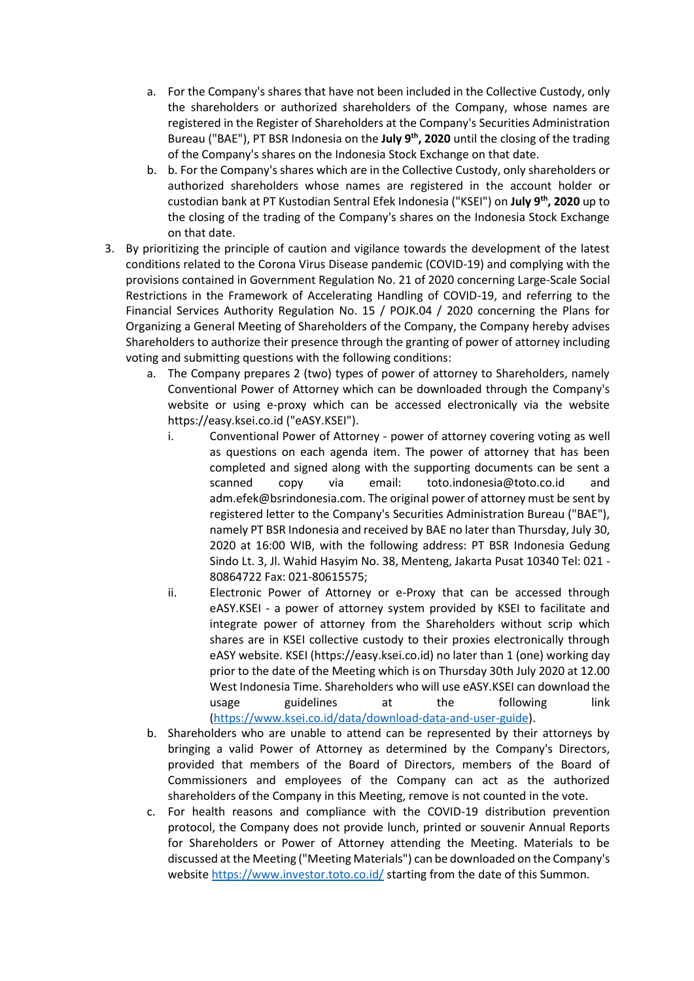- a. For the Company's shares that have not been included in the Collective Custody, only the shareholders or authorized shareholders of the Company, whose names are registered in the Register of Shareholders at the Company's Securities Administration Bureau ("BAE"), PT BSR Indonesia on the July 9<sup>th</sup>, 2020 until the closing of the trading of the Company's shares on the Indonesia Stock Exchange on that date.
- b. b. For the Company's shares which are in the Collective Custody, only shareholders or authorized shareholders whose names are registered in the account holder or custodian bank at PT Kustodian Sentral Efek Indonesia ("KSEI") on **July 9th, 2020** up to the closing of the trading of the Company's shares on the Indonesia Stock Exchange on that date.
- 3. By prioritizing the principle of caution and vigilance towards the development of the latest conditions related to the Corona Virus Disease pandemic (COVID-19) and complying with the provisions contained in Government Regulation No. 21 of 2020 concerning Large-Scale Social Restrictions in the Framework of Accelerating Handling of COVID-19, and referring to the Financial Services Authority Regulation No. 15 / POJK.04 / 2020 concerning the Plans for Organizing a General Meeting of Shareholders of the Company, the Company hereby advises Shareholders to authorize their presence through the granting of power of attorney including voting and submitting questions with the following conditions:
	- a. The Company prepares 2 (two) types of power of attorney to Shareholders, namely Conventional Power of Attorney which can be downloaded through the Company's website or using e-proxy which can be accessed electronically via the website https://easy.ksei.co.id ("eASY.KSEI").
		- i. Conventional Power of Attorney power of attorney covering voting as well as questions on each agenda item. The power of attorney that has been completed and signed along with the supporting documents can be sent a scanned copy via email: toto.indonesia@toto.co.id and adm.efek@bsrindonesia.com. The original power of attorney must be sent by registered letter to the Company's Securities Administration Bureau ("BAE"), namely PT BSR Indonesia and received by BAE no later than Thursday, July 30, 2020 at 16:00 WIB, with the following address: PT BSR Indonesia Gedung Sindo Lt. 3, Jl. Wahid Hasyim No. 38, Menteng, Jakarta Pusat 10340 Tel: 021 - 80864722 Fax: 021-80615575;
		- ii. Electronic Power of Attorney or e-Proxy that can be accessed through eASY.KSEI - a power of attorney system provided by KSEI to facilitate and integrate power of attorney from the Shareholders without scrip which shares are in KSEI collective custody to their proxies electronically through eASY website. KSEI (https://easy.ksei.co.id) no later than 1 (one) working day prior to the date of the Meeting which is on Thursday 30th July 2020 at 12.00 West Indonesia Time. Shareholders who will use eASY.KSEI can download the usage guidelines at the following link [\(https://www.ksei.co.id/data/download-data-and-user-guide\)](https://www.ksei.co.id/data/download-data-and-user-guide).
	- b. Shareholders who are unable to attend can be represented by their attorneys by bringing a valid Power of Attorney as determined by the Company's Directors, provided that members of the Board of Directors, members of the Board of Commissioners and employees of the Company can act as the authorized shareholders of the Company in this Meeting, remove is not counted in the vote.
	- c. For health reasons and compliance with the COVID-19 distribution prevention protocol, the Company does not provide lunch, printed or souvenir Annual Reports for Shareholders or Power of Attorney attending the Meeting. Materials to be discussed at the Meeting ("Meeting Materials") can be downloaded on the Company's websit[e https://www.investor.toto.co.id/](https://www.investor.toto.co.id/) starting from the date of this Summon.